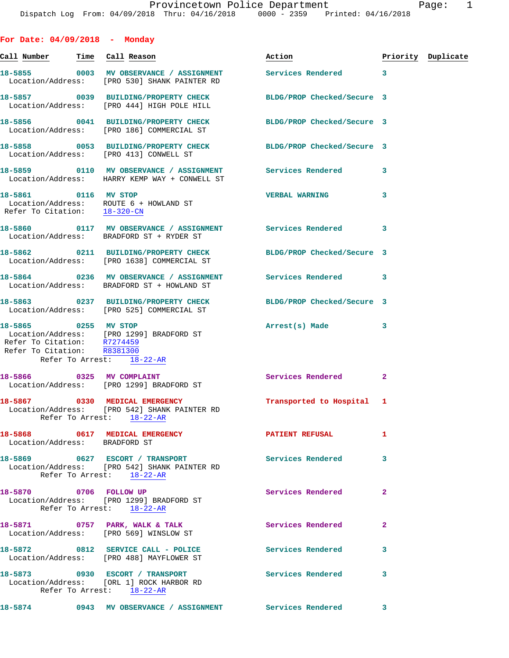| For Date: $04/09/2018$ - Monday                                                                |                                                                                                                |                            |              |                    |
|------------------------------------------------------------------------------------------------|----------------------------------------------------------------------------------------------------------------|----------------------------|--------------|--------------------|
| Call Num <u>ber</u>                                                                            | Time Call Reason                                                                                               | Action                     |              | Priority Duplicate |
|                                                                                                | 18-5855 0003 MV OBSERVANCE / ASSIGNMENT Services Rendered 3<br>Location/Address: [PRO 530] SHANK PAINTER RD    |                            |              |                    |
|                                                                                                | 18-5857 0039 BUILDING/PROPERTY CHECK<br>Location/Address: [PRO 444] HIGH POLE HILL                             | BLDG/PROP Checked/Secure 3 |              |                    |
|                                                                                                | 18-5856 0041 BUILDING/PROPERTY CHECK<br>Location/Address: [PRO 186] COMMERCIAL ST                              | BLDG/PROP Checked/Secure 3 |              |                    |
| Location/Address: [PRO 413] CONWELL ST                                                         | 18-5858 0053 BUILDING/PROPERTY CHECK BLDG/PROP Checked/Secure 3                                                |                            |              |                    |
|                                                                                                | Location/Address: HARRY KEMP WAY + CONWELL ST                                                                  |                            |              |                    |
| 18-5861 0116 MV STOP<br>Location/Address: ROUTE 6 + HOWLAND ST<br>Refer To Citation: 18-320-CN |                                                                                                                | <b>VERBAL WARNING</b>      | 3            |                    |
|                                                                                                | 18-5860   0117 MV OBSERVANCE / ASSIGNMENT Services Rendered<br>Location/Address: BRADFORD ST + RYDER ST        |                            | 3            |                    |
|                                                                                                | 18-5862 0211 BUILDING/PROPERTY CHECK<br>Location/Address: [PRO 1638] COMMERCIAL ST                             | BLDG/PROP Checked/Secure 3 |              |                    |
|                                                                                                | 18-5864 0236 MV OBSERVANCE / ASSIGNMENT Services Rendered<br>Location/Address: BRADFORD ST + HOWLAND ST        |                            | 3            |                    |
|                                                                                                | 18-5863 0237 BUILDING/PROPERTY CHECK BLDG/PROP Checked/Secure 3<br>Location/Address: [PRO 525] COMMERCIAL ST   |                            |              |                    |
| Refer To Citation: R8381300<br>Refer To Arrest: 18-22-AR                                       | 18-5865 0255 MV STOP<br>Location/Address: [PRO 1299] BRADFORD ST<br>Refer To Citation: R7274459                | Arrest(s) Made             | 3            |                    |
| 18-5866 0325 MV COMPLAINT                                                                      | Location/Address: [PRO 1299] BRADFORD ST                                                                       | Services Rendered          | $\mathbf{2}$ |                    |
| 18-5867 0330 MEDICAL EMERGENCY                                                                 | Location/Address: [PRO 542] SHANK PAINTER RD<br>Refer To Arrest: 18-22-AR                                      | Transported to Hospital 1  |              |                    |
| Location/Address: BRADFORD ST                                                                  | 18-5868 0617 MEDICAL EMERGENCY                                                                                 | PATIENT REFUSAL            | 1            |                    |
|                                                                                                | 18-5869 0627 ESCORT / TRANSPORT<br>Location/Address: [PRO 542] SHANK PAINTER RD<br>Refer To Arrest: $18-22-AR$ | <b>Services Rendered</b>   | 3            |                    |
|                                                                                                | 18-5870 0706 FOLLOW UP<br>Location/Address: [PRO 1299] BRADFORD ST<br>Refer To Arrest: 18-22-AR                | Services Rendered          | $\mathbf{2}$ |                    |
|                                                                                                | 18-5871 0757 PARK, WALK & TALK<br>Location/Address: [PRO 569] WINSLOW ST                                       | Services Rendered          | 2            |                    |
|                                                                                                | 18-5872 0812 SERVICE CALL - POLICE<br>Location/Address: [PRO 488] MAYFLOWER ST                                 | <b>Services Rendered</b>   | 3            |                    |
| 18-5873 0930 ESCORT / TRANSPORT                                                                | Location/Address: [ORL 1] ROCK HARBOR RD                                                                       | Services Rendered          | 3            |                    |

**18-5874 0943 MV OBSERVANCE / ASSIGNMENT Services Rendered 3** 

Refer To Arrest: 18-22-AR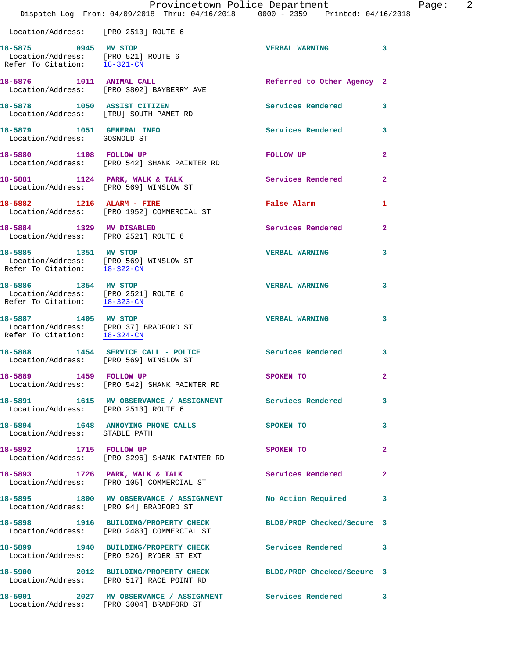|                                                                                                                            | Dispatch Log From: 04/09/2018 Thru: 04/16/2018 0000 - 2359 Printed: 04/16/2018                                | Provincetown Police Department | 2<br>Page:   |
|----------------------------------------------------------------------------------------------------------------------------|---------------------------------------------------------------------------------------------------------------|--------------------------------|--------------|
| Location/Address: [PRO 2513] ROUTE 6                                                                                       |                                                                                                               |                                |              |
| 18-5875 0945 MV STOP                                                                                                       | Location/Address: [PRO 521] ROUTE 6<br>Refer To Citation: $\frac{18-321-CM}{28}$                              | VERBAL WARNING 3               |              |
|                                                                                                                            | 18-5876 1011 ANIMAL CALL<br>Location/Address: [PRO 3802] BAYBERRY AVE                                         | Referred to Other Agency 2     |              |
|                                                                                                                            | 18-5878 1050 ASSIST CITIZEN<br>Location/Address: [TRU] SOUTH PAMET RD                                         | Services Rendered 3            |              |
| 18-5879 1051 GENERAL INFO<br>Location/Address: GOSNOLD ST                                                                  |                                                                                                               | Services Rendered 3            |              |
|                                                                                                                            | 18-5880 1108 FOLLOW UP<br>Location/Address: [PRO 542] SHANK PAINTER RD                                        | FOLLOW UP                      | $\mathbf{2}$ |
|                                                                                                                            | 18-5881 1124 PARK, WALK & TALK<br>Location/Address: [PRO 569] WINSLOW ST                                      | Services Rendered              | $\mathbf{2}$ |
|                                                                                                                            | 18-5882 1216 ALARM - FIRE<br>Location/Address: [PRO 1952] COMMERCIAL ST                                       | <b>False Alarm</b>             | 1            |
| 18-5884 1329 MV DISABLED                                                                                                   | Location/Address: [PRO 2521] ROUTE 6                                                                          | <b>Services Rendered</b> 2     |              |
| Location/Address: [PRO 569] WINSLOW ST<br>Refer To Citation: $\frac{18-322-CN}{28}$                                        | 18-5885 1351 MV STOP                                                                                          | <b>VERBAL WARNING</b>          | 3            |
| 18-5886 1354 MV STOP<br>Location/Address: [PRO 2521] ROUTE 6<br>Refer To Citation: 18-323-CN                               |                                                                                                               | <b>VERBAL WARNING</b>          | 3            |
| $\begin{tabular}{ll} Location/Address: & [PRO 37] BRADFORD ST \\ Refer To Citation: & \underline{18-324-CN} \end{tabular}$ | 18-5887 1405 MV STOP                                                                                          | <b>VERBAL WARNING</b>          | 3            |
| Location/Address: [PRO 569] WINSLOW ST                                                                                     | 18-5888 1454 SERVICE CALL - POLICE                                                                            | Services Rendered              | 3            |
| 18-5889 1459 FOLLOW UP                                                                                                     | Location/Address: [PRO 542] SHANK PAINTER RD                                                                  | SPOKEN TO                      | $\mathbf{2}$ |
| Location/Address: [PRO 2513] ROUTE 6                                                                                       | 18-5891 1615 MV OBSERVANCE / ASSIGNMENT Services Rendered 3                                                   |                                |              |
| Location/Address: STABLE PATH                                                                                              | 18-5894 1648 ANNOYING PHONE CALLS SPOKEN TO                                                                   |                                | 3            |
| 18-5892 1715 FOLLOW UP                                                                                                     | Location/Address: [PRO 3296] SHANK PAINTER RD                                                                 | SPOKEN TO                      | $\mathbf{2}$ |
|                                                                                                                            | 18-5893 1726 PARK, WALK & TALK<br>Location/Address: [PRO 105] COMMERCIAL ST                                   | Services Rendered 2            |              |
| Location/Address: [PRO 94] BRADFORD ST                                                                                     | 18-5895 1800 MV OBSERVANCE / ASSIGNMENT No Action Required                                                    |                                | -3           |
|                                                                                                                            | 18-5898 1916 BUILDING/PROPERTY CHECK BLDG/PROP Checked/Secure 3<br>Location/Address: [PRO 2483] COMMERCIAL ST |                                |              |
|                                                                                                                            | 18-5899 1940 BUILDING/PROPERTY CHECK Services Rendered 3<br>Location/Address: [PRO 526] RYDER ST EXT          |                                |              |
|                                                                                                                            | 18-5900 2012 BUILDING/PROPERTY CHECK BLDG/PROP Checked/Secure 3<br>Location/Address: [PRO 517] RACE POINT RD  |                                |              |
|                                                                                                                            | 18-5901 2027 MV OBSERVANCE / ASSIGNMENT Services Rendered<br>Location/Address: [PRO 3004] BRADFORD ST         |                                | $\mathbf{3}$ |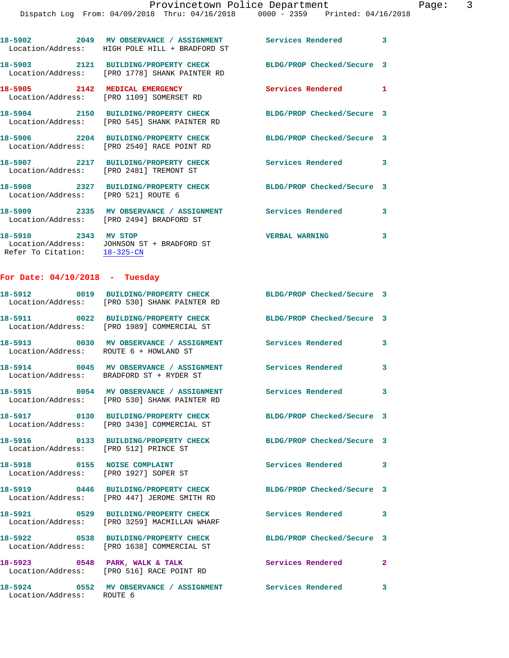|                                                      | 18-5902 2049 MV OBSERVANCE / ASSIGNMENT Services Rendered 3<br>Location/Address: HIGH POLE HILL + BRADFORD ST |                                            |   |
|------------------------------------------------------|---------------------------------------------------------------------------------------------------------------|--------------------------------------------|---|
|                                                      | 18-5903 2121 BUILDING/PROPERTY CHECK<br>Location/Address: [PRO 1778] SHANK PAINTER RD                         | BLDG/PROP Checked/Secure 3                 |   |
| 18-5905 2142 MEDICAL EMERGENCY<br>Location/Address:  | [PRO 1109] SOMERSET RD                                                                                        | <b>Services Rendered</b><br>$\blacksquare$ |   |
|                                                      | 18-5904 2150 BUILDING/PROPERTY CHECK<br>Location/Address: [PRO 545] SHANK PAINTER RD                          | BLDG/PROP Checked/Secure 3                 |   |
|                                                      | 18-5906 2204 BUILDING/PROPERTY CHECK<br>Location/Address: [PRO 2540] RACE POINT RD                            | BLDG/PROP Checked/Secure 3                 |   |
|                                                      | 18-5907 2217 BUILDING/PROPERTY CHECK<br>Location/Address: [PRO 2481] TREMONT ST                               | <b>Services Rendered</b>                   | 3 |
| Location/Address: [PRO 521] ROUTE 6                  | 18-5908 2327 BUILDING/PROPERTY CHECK                                                                          | BLDG/PROP Checked/Secure 3                 |   |
|                                                      | 18-5909 2335 MV OBSERVANCE / ASSIGNMENT<br>Location/Address: [PRO 2494] BRADFORD ST                           | <b>Services Rendered</b>                   | 3 |
| 18-5910 2343 MV STOP<br>Refer To Citation: 18-325-CN | Location/Address: JOHNSON ST + BRADFORD ST                                                                    | <b>VERBAL WARNING</b>                      | 3 |
| For Date: $04/10/2018$ - Tuesday                     |                                                                                                               |                                            |   |
|                                                      | 18-5912 0019 BUILDING/PROPERTY CHECK<br>Location/Address: [PRO 530] SHANK PAINTER RD                          | BLDG/PROP Checked/Secure 3                 |   |
|                                                      | 18-5911 0022 BUILDING/PROPERTY CHECK<br>Location/Address: [PRO 1989] COMMERCIAL ST                            | BLDG/PROP Checked/Secure 3                 |   |
|                                                      | 18-5913 0030 MV OBSERVANCE / ASSIGNMENT Services Rendered                                                     |                                            | 3 |

Location/Address: ROUTE 6 + HOWLAND ST

Location/Address: BRADFORD ST + RYDER ST

Location/Address: [PRO 530] SHANK PAINTER RD

Location/Address: [PRO 3430] COMMERCIAL ST

**18-5916 0133 BUILDING/PROPERTY CHECK BLDG/PROP Checked/Secure 3**  Location/Address: [PRO 512] PRINCE ST

Location/Address: [PRO 1927] SOPER ST

Location/Address: [PRO 447] JEROME SMITH RD

Location/Address: [PRO 3259] MACMILLAN WHARF

Location/Address: [PRO 1638] COMMERCIAL ST

Location/Address: ROUTE 6

Location/Address: [PRO 516] RACE POINT RD

**18-5914 0045 MV OBSERVANCE / ASSIGNMENT Services Rendered 3 18-5915 0054 MV OBSERVANCE / ASSIGNMENT Services Rendered 3 18-5917 0130 BUILDING/PROPERTY CHECK BLDG/PROP Checked/Secure 3** 

18-5918 **0155 NOISE COMPLAINT 18-5918 Services Rendered** 3 **18-5919 0446 BUILDING/PROPERTY CHECK BLDG/PROP Checked/Secure 3 18-5921 0529 BUILDING/PROPERTY CHECK Services Rendered 3 18-5922 0538 BUILDING/PROPERTY CHECK BLDG/PROP Checked/Secure 3** 

**18-5923 0548 PARK, WALK & TALK Services Rendered 2** 

**18-5924 0552 MV OBSERVANCE / ASSIGNMENT Services Rendered 3**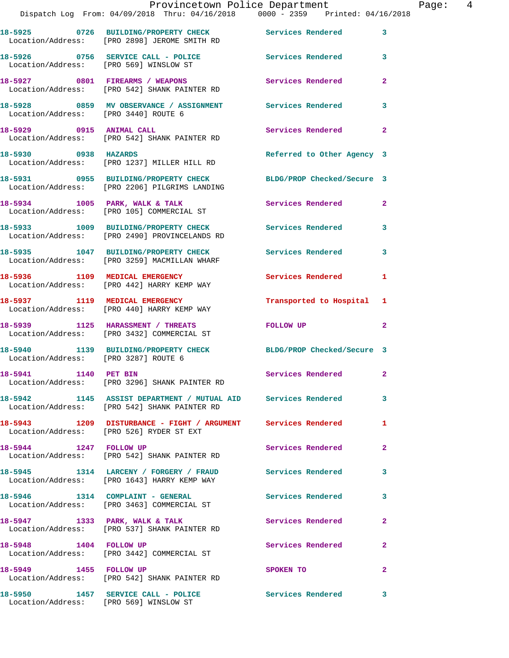|                                        | Provincetown Police Department                                                                                |                            |                |
|----------------------------------------|---------------------------------------------------------------------------------------------------------------|----------------------------|----------------|
|                                        | Dispatch Log From: 04/09/2018 Thru: 04/16/2018 0000 - 2359 Printed: 04/16/2018                                |                            |                |
|                                        | 18-5925 0726 BUILDING/PROPERTY CHECK Services Rendered<br>Location/Address: [PRO 2898] JEROME SMITH RD        |                            | 3              |
| Location/Address: [PRO 569] WINSLOW ST | 18-5926 0756 SERVICE CALL - POLICE                                                                            | Services Rendered          | 3              |
|                                        | 18-5927 0801 FIREARMS / WEAPONS<br>Location/Address: [PRO 542] SHANK PAINTER RD                               | Services Rendered          | $\overline{2}$ |
| Location/Address: [PRO 3440] ROUTE 6   | 18-5928       0859   MV OBSERVANCE / ASSIGNMENT      Services Rendered                                        |                            | 3              |
| 18-5929 0915 ANIMAL CALL               | Location/Address: [PRO 542] SHANK PAINTER RD                                                                  | Services Rendered          | $\overline{2}$ |
| 18-5930 0938 HAZARDS                   | Location/Address: [PRO 1237] MILLER HILL RD                                                                   | Referred to Other Agency 3 |                |
|                                        | 18-5931 0955 BUILDING/PROPERTY CHECK<br>Location/Address: [PRO 2206] PILGRIMS LANDING                         | BLDG/PROP Checked/Secure 3 |                |
|                                        | 18-5934 1005 PARK, WALK & TALK<br>Location/Address: [PRO 105] COMMERCIAL ST                                   | Services Rendered          | $\mathbf{2}$   |
|                                        | 18-5933 1009 BUILDING/PROPERTY CHECK Services Rendered<br>Location/Address: [PRO 2490] PROVINCELANDS RD       |                            | 3              |
|                                        | 18-5935 1047 BUILDING/PROPERTY CHECK<br>Location/Address: [PRO 3259] MACMILLAN WHARF                          | <b>Services Rendered</b>   | 3              |
|                                        | 18-5936 1109 MEDICAL EMERGENCY<br>Location/Address: [PRO 442] HARRY KEMP WAY                                  | <b>Services Rendered</b>   | 1              |
|                                        | 18-5937 1119 MEDICAL EMERGENCY<br>Location/Address: [PRO 440] HARRY KEMP WAY                                  | Transported to Hospital    | 1              |
|                                        | 18-5939 1125 HARASSMENT / THREATS<br>Location/Address: [PRO 3432] COMMERCIAL ST                               | <b>FOLLOW UP</b>           | $\overline{a}$ |
| Location/Address: [PRO 3287] ROUTE 6   | 18-5940 1139 BUILDING/PROPERTY CHECK                                                                          | BLDG/PROP Checked/Secure 3 |                |
| 18-5941 1140 PET BIN                   | Location/Address: [PRO 3296] SHANK PAINTER RD                                                                 | <b>Services Rendered</b>   |                |
|                                        | 18-5942 1145 ASSIST DEPARTMENT / MUTUAL AID Services Rendered<br>Location/Address: [PRO 542] SHANK PAINTER RD |                            | 3              |
|                                        | 18-5943 1209 DISTURBANCE - FIGHT / ARGUMENT Services Rendered<br>Location/Address: [PRO 526] RYDER ST EXT     |                            | 1              |
| 18-5944 1247 FOLLOW UP                 | Location/Address: [PRO 542] SHANK PAINTER RD                                                                  | Services Rendered          | $\overline{a}$ |
|                                        | 18-5945 1314 LARCENY / FORGERY / FRAUD Services Rendered<br>Location/Address: [PRO 1643] HARRY KEMP WAY       |                            | 3              |
|                                        | 18-5946 1314 COMPLAINT - GENERAL<br>Location/Address: [PRO 3463] COMMERCIAL ST                                | <b>Services Rendered</b>   | 3              |
|                                        | 18-5947 1333 PARK, WALK & TALK<br>Location/Address: [PRO 537] SHANK PAINTER RD                                | Services Rendered          | $\mathbf{2}$   |
| 18-5948 1404 FOLLOW UP                 | Location/Address: [PRO 3442] COMMERCIAL ST                                                                    | Services Rendered          | $\mathbf{2}$   |
| 18-5949 1455 FOLLOW UP                 | Location/Address: [PRO 542] SHANK PAINTER RD                                                                  | SPOKEN TO                  | $\mathbf{2}$   |
|                                        | 18-5950 1457 SERVICE CALL - POLICE National Services Rendered 3                                               |                            |                |

Location/Address: [PRO 569] WINSLOW ST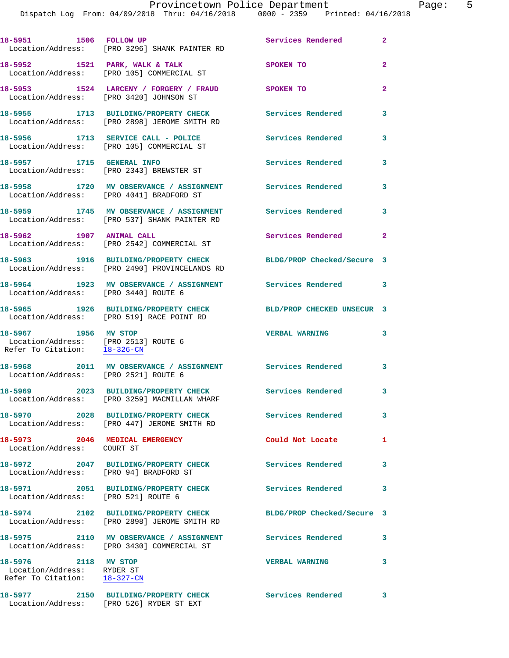|                                                                                              | 18-5951 1506 FOLLOW UP<br>Location/Address: [PRO 3296] SHANK PAINTER RD                          | Services Rendered          | $\overline{2}$ |
|----------------------------------------------------------------------------------------------|--------------------------------------------------------------------------------------------------|----------------------------|----------------|
| 18-5952 1521 PARK, WALK & TALK                                                               | Location/Address: [PRO 105] COMMERCIAL ST                                                        | SPOKEN TO                  | $\overline{a}$ |
| Location/Address: [PRO 3420] JOHNSON ST                                                      | 18-5953 1524 LARCENY / FORGERY / FRAUD                                                           | <b>SPOKEN TO</b>           | $\mathbf{2}$   |
|                                                                                              | 18-5955 1713 BUILDING/PROPERTY CHECK<br>Location/Address: [PRO 2898] JEROME SMITH RD             | <b>Services Rendered</b>   | 3              |
|                                                                                              | 18-5956 1713 SERVICE CALL - POLICE<br>Location/Address: [PRO 105] COMMERCIAL ST                  | <b>Services Rendered</b>   | 3              |
| 18-5957 1715 GENERAL INFO                                                                    | Location/Address: [PRO 2343] BREWSTER ST                                                         | Services Rendered          | 3              |
|                                                                                              | 18-5958 1720 MV OBSERVANCE / ASSIGNMENT<br>Location/Address: [PRO 4041] BRADFORD ST              | Services Rendered          | 3              |
|                                                                                              | 18-5959 1745 MV OBSERVANCE / ASSIGNMENT<br>Location/Address: [PRO 537] SHANK PAINTER RD          | Services Rendered          | 3              |
| 18-5962 1907 ANIMAL CALL                                                                     | Location/Address: [PRO 2542] COMMERCIAL ST                                                       | Services Rendered          | $\mathbf{2}$   |
|                                                                                              | 18-5963 1916 BUILDING/PROPERTY CHECK<br>Location/Address: [PRO 2490] PROVINCELANDS RD            | BLDG/PROP Checked/Secure 3 |                |
| Location/Address: [PRO 3440] ROUTE 6                                                         | 18-5964 1923 MV OBSERVANCE / ASSIGNMENT Services Rendered                                        |                            | 3              |
|                                                                                              | 18-5965 1926 BUILDING/PROPERTY CHECK<br>Location/Address: [PRO 519] RACE POINT RD                | BLD/PROP CHECKED UNSECUR 3 |                |
| 18-5967 1956 MV STOP<br>Location/Address: [PRO 2513] ROUTE 6<br>Refer To Citation: 18-326-CN |                                                                                                  | <b>VERBAL WARNING</b>      | 3              |
| Location/Address: [PRO 2521] ROUTE 6                                                         | 18-5968 2011 MV OBSERVANCE / ASSIGNMENT Services Rendered                                        |                            | 3              |
| 18-5969                                                                                      | 2023 BUILDING/PROPERTY CHECK Services Rendered 3<br>Location/Address: [PRO 3259] MACMILLAN WHARF |                            |                |
|                                                                                              | 18-5970 2028 BUILDING/PROPERTY CHECK<br>Location/Address: [PRO 447] JEROME SMITH RD              | Services Rendered          | 3              |
| 18-5973 2046 MEDICAL EMERGENCY<br>Location/Address: COURT ST                                 |                                                                                                  | Could Not Locate           | 1              |
| Location/Address: [PRO 94] BRADFORD ST                                                       | 18-5972 2047 BUILDING/PROPERTY CHECK                                                             | <b>Services Rendered</b>   | 3              |
| Location/Address: [PRO 521] ROUTE 6                                                          | 18-5971 2051 BUILDING/PROPERTY CHECK                                                             | <b>Services Rendered</b>   | 3              |
|                                                                                              | 18-5974 2102 BUILDING/PROPERTY CHECK<br>Location/Address: [PRO 2898] JEROME SMITH RD             | BLDG/PROP Checked/Secure 3 |                |
|                                                                                              | 18-5975 2110 MV OBSERVANCE / ASSIGNMENT<br>Location/Address: [PRO 3430] COMMERCIAL ST            | Services Rendered          | 3              |
| 18-5976 2118 MV STOP<br>Location/Address: RYDER ST<br>Refer To Citation: 18-327-CN           |                                                                                                  | <b>VERBAL WARNING</b>      | 3              |
|                                                                                              | 18-5977 2150 BUILDING/PROPERTY CHECK<br>Location/Address: [PRO 526] RYDER ST EXT                 | Services Rendered 3        |                |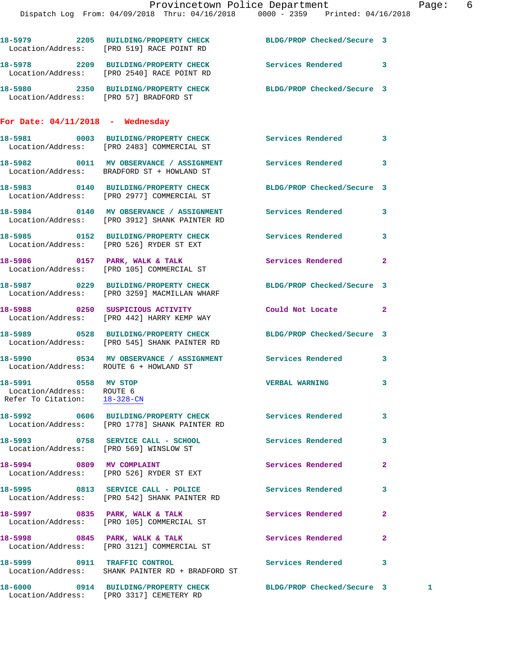|                                                                                   | 18-5979 2205 BUILDING/PROPERTY CHECK BLDG/PROP Checked/Secure 3<br>Location/Address: [PRO 519] RACE POINT RD    |                            |                |
|-----------------------------------------------------------------------------------|-----------------------------------------------------------------------------------------------------------------|----------------------------|----------------|
|                                                                                   | 18-5978 2209 BUILDING/PROPERTY CHECK Services Rendered<br>Location/Address: [PRO 2540] RACE POINT RD            |                            | 3              |
|                                                                                   | 18-5980 2350 BUILDING/PROPERTY CHECK BLDG/PROP Checked/Secure 3<br>Location/Address: [PRO 57] BRADFORD ST       |                            |                |
| For Date: $04/11/2018$ - Wednesday                                                |                                                                                                                 |                            |                |
|                                                                                   | 18-5981 0003 BUILDING/PROPERTY CHECK Services Rendered<br>Location/Address: [PRO 2483] COMMERCIAL ST            |                            | 3              |
|                                                                                   | 18-5982 0011 MV OBSERVANCE / ASSIGNMENT Services Rendered<br>Location/Address: BRADFORD ST + HOWLAND ST         |                            | 3              |
|                                                                                   | 18-5983 0140 BUILDING/PROPERTY CHECK BLDG/PROP Checked/Secure 3<br>Location/Address: [PRO 2977] COMMERCIAL ST   |                            |                |
|                                                                                   | 18-5984 0140 MV OBSERVANCE / ASSIGNMENT Services Rendered<br>Location/Address: [PRO 3912] SHANK PAINTER RD      |                            | 3              |
|                                                                                   | 18-5985 0152 BUILDING/PROPERTY CHECK Services Rendered<br>Location/Address: [PRO 526] RYDER ST EXT              |                            | 3              |
|                                                                                   | 18-5986 0157 PARK, WALK & TALK<br>Location/Address: [PRO 105] COMMERCIAL ST                                     | Services Rendered          | $\mathbf{2}$   |
|                                                                                   | 18-5987 0229 BUILDING/PROPERTY CHECK BLDG/PROP Checked/Secure 3<br>Location/Address: [PRO 3259] MACMILLAN WHARF |                            |                |
|                                                                                   | 18-5988 0250 SUSPICIOUS ACTIVITY<br>Location/Address: [PRO 442] HARRY KEMP WAY                                  | Could Not Locate           | $\mathbf{2}$   |
|                                                                                   | 18-5989 0528 BUILDING/PROPERTY CHECK BLDG/PROP Checked/Secure 3<br>Location/Address: [PRO 545] SHANK PAINTER RD |                            |                |
| Location/Address: ROUTE 6 + HOWLAND ST                                            | 18-5990 6534 MV OBSERVANCE / ASSIGNMENT Services Rendered                                                       |                            | 3              |
| 18-5991 0558 MV STOP<br>Location/Address: ROUTE 6<br>Refer To Citation: 18-328-CN |                                                                                                                 | <b>VERBAL WARNING</b>      | 3              |
|                                                                                   | 18-5992 0606 BUILDING/PROPERTY CHECK<br>Location/Address: [PRO 1778] SHANK PAINTER RD                           | Services Rendered          | 3              |
| Location/Address: [PRO 569] WINSLOW ST                                            | 18-5993 0758 SERVICE CALL - SCHOOL                                                                              | Services Rendered          | 3              |
| 18-5994 0809 MV COMPLAINT                                                         | Location/Address: [PRO 526] RYDER ST EXT                                                                        | Services Rendered          | $\overline{a}$ |
|                                                                                   | 18-5995 0813 SERVICE CALL - POLICE<br>Location/Address: [PRO 542] SHANK PAINTER RD                              | <b>Services Rendered</b>   | 3              |
|                                                                                   | 18-5997 0835 PARK, WALK & TALK<br>Location/Address: [PRO 105] COMMERCIAL ST                                     | Services Rendered          | $\overline{a}$ |
|                                                                                   | 18-5998 0845 PARK, WALK & TALK<br>Location/Address: [PRO 3121] COMMERCIAL ST                                    | Services Rendered          | $\mathbf{2}$   |
| 18-5999 0911 TRAFFIC CONTROL                                                      | Location/Address: SHANK PAINTER RD + BRADFORD ST                                                                | Services Rendered          | 3              |
|                                                                                   | 18-6000 0914 BUILDING/PROPERTY CHECK<br>Location/Address: [PRO 3317] CEMETERY RD                                | BLDG/PROP Checked/Secure 3 | 1              |
|                                                                                   |                                                                                                                 |                            |                |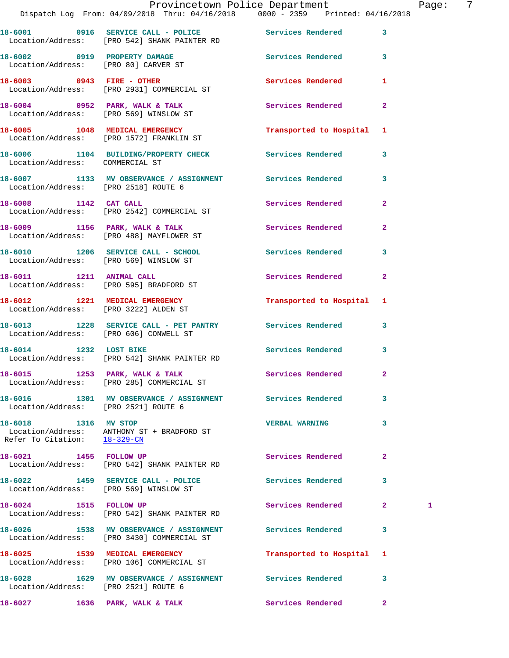|                                                      | Dispatch Log From: 04/09/2018 Thru: 04/16/2018 0000 - 2359 Printed: 04/16/2018                          | Provincetown Police Department |              | Page: | - 7 |
|------------------------------------------------------|---------------------------------------------------------------------------------------------------------|--------------------------------|--------------|-------|-----|
|                                                      | 18-6001 0916 SERVICE CALL - POLICE Services Rendered 3                                                  |                                |              |       |     |
|                                                      | Location/Address: [PRO 542] SHANK PAINTER RD<br>18-6002 0919 PROPERTY DAMAGE Services Rendered 3        |                                |              |       |     |
|                                                      | Location/Address: [PRO 80] CARVER ST                                                                    |                                |              |       |     |
|                                                      | 18-6003 0943 FIRE - OTHER<br>Location/Address: [PRO 2931] COMMERCIAL ST                                 | Services Rendered 1            |              |       |     |
|                                                      | 18-6004 0952 PARK, WALK & TALK<br>Location/Address: [PRO 569] WINSLOW ST                                |                                |              |       |     |
|                                                      | 18-6005 1048 MEDICAL EMERGENCY<br>Location/Address: [PRO 1572] FRANKLIN ST                              | Transported to Hospital 1      |              |       |     |
| Location/Address: COMMERCIAL ST                      | 18-6006 1104 BUILDING/PROPERTY CHECK Services Rendered 3                                                |                                |              |       |     |
| Location/Address: [PRO 2518] ROUTE 6                 | 18-6007 1133 MV OBSERVANCE / ASSIGNMENT Services Rendered 3                                             |                                |              |       |     |
|                                                      | 18-6008 1142 CAT CALL<br>Location/Address: [PRO 2542] COMMERCIAL ST                                     | Services Rendered 2            |              |       |     |
|                                                      | 18-6009 1156 PARK, WALK & TALK 1988 Services Rendered 2<br>Location/Address: [PRO 488] MAYFLOWER ST     |                                |              |       |     |
|                                                      | 18-6010 1206 SERVICE CALL - SCHOOL 5 Services Rendered 3<br>Location/Address: [PRO 569] WINSLOW ST      |                                |              |       |     |
|                                                      | 18-6011 1211 ANIMAL CALL<br>Location/Address: [PRO 595] BRADFORD ST                                     | Services Rendered 2            |              |       |     |
| Location/Address: [PRO 3222] ALDEN ST                | 18-6012 1221 MEDICAL EMERGENCY                                                                          | Transported to Hospital 1      |              |       |     |
|                                                      | 18-6013 1228 SERVICE CALL - PET PANTRY Services Rendered 3<br>Location/Address: [PRO 606] CONWELL ST    |                                |              |       |     |
|                                                      | 18-6014 1232 LOST BIKE<br>Location/Address: [PRO 542] SHANK PAINTER RD                                  | Services Rendered 3            |              |       |     |
|                                                      | 18-6015 1253 PARK, WALK & TALK 5 Services Rendered 2<br>Location/Address: [PRO 285] COMMERCIAL ST       |                                |              |       |     |
| Location/Address: [PRO 2521] ROUTE 6                 | 18-6016 1301 MV OBSERVANCE / ASSIGNMENT Services Rendered 3                                             |                                |              |       |     |
| 18-6018 1316 MV STOP<br>Refer To Citation: 18-329-CN | Location/Address: ANTHONY ST + BRADFORD ST                                                              | <b>VERBAL WARNING</b>          | 3            |       |     |
| 18-6021 1455 FOLLOW UP                               | Location/Address: [PRO 542] SHANK PAINTER RD                                                            | Services Rendered              | $\mathbf{2}$ |       |     |
|                                                      | 18-6022 1459 SERVICE CALL - POLICE 3 Services Rendered 3<br>Location/Address: [PRO 569] WINSLOW ST      |                                |              |       |     |
|                                                      | 18-6024 1515 FOLLOW UP<br>Location/Address: [PRO 542] SHANK PAINTER RD                                  | Services Rendered 2            |              | 1     |     |
|                                                      | 18-6026 1538 MV OBSERVANCE / ASSIGNMENT Services Rendered<br>Location/Address: [PRO 3430] COMMERCIAL ST |                                | 3            |       |     |
|                                                      | 18-6025 1539 MEDICAL EMERGENCY<br>Location/Address: [PRO 106] COMMERCIAL ST                             | Transported to Hospital 1      |              |       |     |
| Location/Address: [PRO 2521] ROUTE 6                 | 18-6028 1629 MV OBSERVANCE / ASSIGNMENT Services Rendered                                               |                                | 3            |       |     |
| 18-6027                                              | 1636 PARK, WALK & TALK                                                                                  | <b>Services Rendered</b> 2     |              |       |     |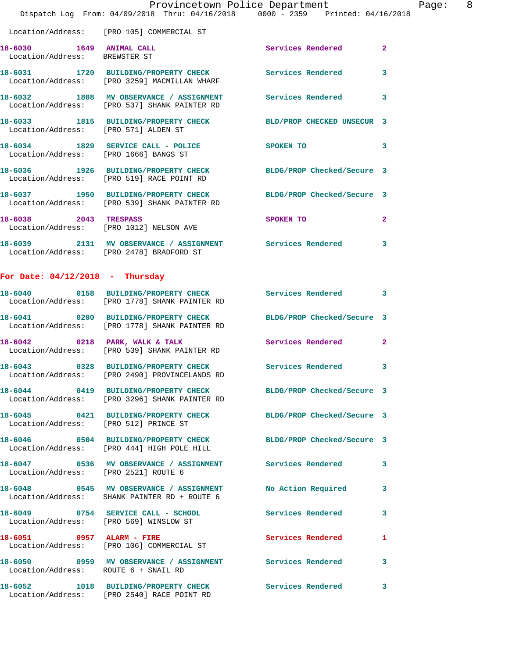|                                                           | Provincetown Police Department                                                                                  |                   |                         |
|-----------------------------------------------------------|-----------------------------------------------------------------------------------------------------------------|-------------------|-------------------------|
|                                                           | Dispatch Log From: 04/09/2018 Thru: 04/16/2018 0000 - 2359 Printed: 04/16/2018                                  |                   |                         |
|                                                           | Location/Address: [PRO 105] COMMERCIAL ST                                                                       |                   |                         |
| 18-6030 1649 ANIMAL CALL<br>Location/Address: BREWSTER ST |                                                                                                                 | Services Rendered | $\overline{a}$          |
|                                                           | 18-6031 1720 BUILDING/PROPERTY CHECK Services Rendered<br>Location/Address: [PRO 3259] MACMILLAN WHARF          |                   | 3                       |
|                                                           | 18-6032 1808 MV OBSERVANCE / ASSIGNMENT Services Rendered<br>Location/Address: [PRO 537] SHANK PAINTER RD       |                   | $\overline{\mathbf{3}}$ |
| Location/Address: [PRO 571] ALDEN ST                      | 18-6033 1815 BUILDING/PROPERTY CHECK BLD/PROP CHECKED UNSECUR 3                                                 |                   |                         |
| Location/Address: [PRO 1666] BANGS ST                     | 18-6034 1829 SERVICE CALL - POLICE                                                                              | <b>SPOKEN TO</b>  | $\overline{\mathbf{3}}$ |
|                                                           | 18-6036 1926 BUILDING/PROPERTY CHECK BLDG/PROP Checked/Secure 3<br>Location/Address: [PRO 519] RACE POINT RD    |                   |                         |
|                                                           | 18-6037 1950 BUILDING/PROPERTY CHECK BLDG/PROP Checked/Secure 3<br>Location/Address: [PRO 539] SHANK PAINTER RD |                   |                         |
| 18-6038 2043 TRESPASS                                     | Location/Address: [PRO 1012] NELSON AVE                                                                         | SPOKEN TO         | $\overline{2}$          |
|                                                           | 18-6039 2131 MV OBSERVANCE / ASSIGNMENT Services Rendered<br>Location/Address: [PRO 2478] BRADFORD ST           |                   | 3                       |
| For Date: $04/12/2018$ - Thursday                         |                                                                                                                 |                   |                         |

Page: 8

## **18-6040 0158 BUILDING/PROPERTY CHECK Services Rendered 3**  Location/Address: [PRO 1778] SHANK PAINTER RD **18-6041 0200 BUILDING/PROPERTY CHECK BLDG/PROP Checked/Secure 3**  Location/Address: [PRO 1778] SHANK PAINTER RD 18-6042 0218 PARK, WALK & TALK **Services Rendered** 2 Location/Address: [PRO 539] SHANK PAINTER RD **18-6043 0328 BUILDING/PROPERTY CHECK Services Rendered 3**  Location/Address: [PRO 2490] PROVINCELANDS RD **18-6044 0419 BUILDING/PROPERTY CHECK BLDG/PROP Checked/Secure 3**  Location/Address: [PRO 3296] SHANK PAINTER RD **18-6045 0421 BUILDING/PROPERTY CHECK BLDG/PROP Checked/Secure 3**  Location/Address: [PRO 512] PRINCE ST **18-6046 0504 BUILDING/PROPERTY CHECK BLDG/PROP Checked/Secure 3**  Location/Address: [PRO 444] HIGH POLE HILL **18-6047 0536 MV OBSERVANCE / ASSIGNMENT Services Rendered 3**  Location/Address: [PRO 2521] ROUTE 6 **18-6048 0545 MV OBSERVANCE / ASSIGNMENT No Action Required 3**  Location/Address: SHANK PAINTER RD + ROUTE 6 **18-6049 0754 SERVICE CALL - SCHOOL Services Rendered 3**  Location/Address: [PRO 569] WINSLOW ST **18-6051 0957 ALARM - FIRE Services Rendered 1**  Location/Address: [PRO 106] COMMERCIAL ST 18-6050 **0959 MV OBSERVANCE / ASSIGNMENT** Services Rendered 3 Location/Address: ROUTE 6 + SNAIL RD **18-6052 1018 BUILDING/PROPERTY CHECK Services Rendered 3**

Location/Address: [PRO 2540] RACE POINT RD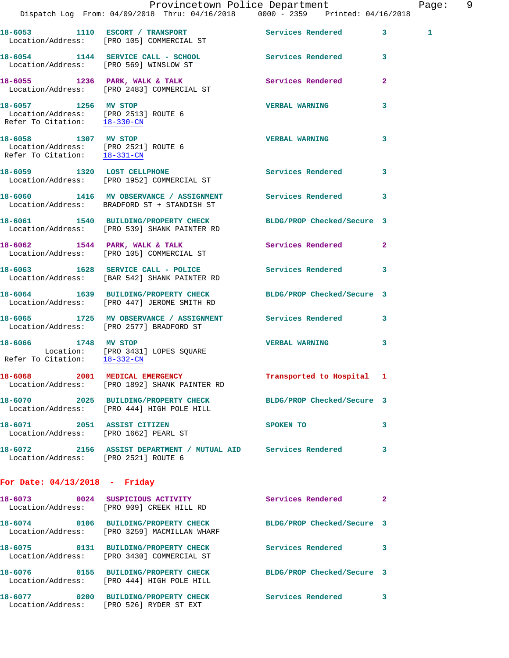|                                                                      | Dispatch Log From: 04/09/2018 Thru: 04/16/2018 0000 - 2359 Printed: 04/16/2018                                  | Provincetown Police Department |              | Page: 9 |
|----------------------------------------------------------------------|-----------------------------------------------------------------------------------------------------------------|--------------------------------|--------------|---------|
|                                                                      | 18-6053 1110 ESCORT / TRANSPORT Services Rendered 3<br>Location/Address: [PRO 105] COMMERCIAL ST                |                                | 1            |         |
|                                                                      | 18-6054 1144 SERVICE CALL - SCHOOL Services Rendered 3<br>Location/Address: [PRO 569] WINSLOW ST                |                                |              |         |
|                                                                      | 18-6055 1236 PARK, WALK & TALK<br>Location/Address: [PRO 2483] COMMERCIAL ST                                    | Services Rendered              | $\mathbf{2}$ |         |
|                                                                      | 18-6057 1256 MV STOP<br>Location/Address: [PRO 2513] ROUTE 6<br>Refer To Citation: <u>18-330-CN</u>             | <b>VERBAL WARNING</b>          | 3            |         |
| 18-6058 1307 MV STOP                                                 | Location/Address: [PRO 2521] ROUTE 6<br>Refer To Citation: $\frac{18-331-CN}{18-331-CN}$                        | <b>VERBAL WARNING</b>          | 3            |         |
|                                                                      | 18-6059 1320 LOST CELLPHONE<br>Location/Address: [PRO 1952] COMMERCIAL ST                                       | Services Rendered              | 3            |         |
|                                                                      | 18-6060 1416 MV OBSERVANCE / ASSIGNMENT Services Rendered 3<br>Location/Address: BRADFORD ST + STANDISH ST      |                                |              |         |
|                                                                      | 18-6061 1540 BUILDING/PROPERTY CHECK BLDG/PROP Checked/Secure 3<br>Location/Address: [PRO 539] SHANK PAINTER RD |                                |              |         |
|                                                                      | 18-6062 1544 PARK, WALK & TALK<br>Location/Address: [PRO 105] COMMERCIAL ST                                     | Services Rendered              | $\mathbf{2}$ |         |
|                                                                      | 18-6063 1628 SERVICE CALL - POLICE<br>Location/Address: [BAR 542] SHANK PAINTER RD                              | Services Rendered 3            |              |         |
|                                                                      | 16-6064 1639 BUILDING/PROPERTY CHECK BLDG/PROP Checked/Secure 3<br>Location/Address: [PRO 447] JEROME SMITH RD  |                                |              |         |
|                                                                      | 18-6065 1725 MV OBSERVANCE / ASSIGNMENT Services Rendered 3<br>Location/Address: [PRO 2577] BRADFORD ST         |                                |              |         |
| 18-6066 1748 MV STOP<br>Refer To Citation: 18-332-CN                 | Location: [PRO 3431] LOPES SQUARE                                                                               | <b>VERBAL WARNING</b>          | 3            |         |
|                                                                      | 18-6068 2001 MEDICAL EMERGENCY<br>Location/Address: [PRO 1892] SHANK PAINTER RD                                 | Transported to Hospital 1      |              |         |
|                                                                      | 18-6070 2025 BUILDING/PROPERTY CHECK BLDG/PROP Checked/Secure 3<br>Location/Address: [PRO 444] HIGH POLE HILL   |                                |              |         |
| 18-6071 2051 ASSIST CITIZEN<br>Location/Address: [PRO 1662] PEARL ST |                                                                                                                 | SPOKEN TO                      | 3            |         |
| Location/Address: [PRO 2521] ROUTE 6                                 | 18-6072 2156 ASSIST DEPARTMENT / MUTUAL AID Services Rendered 3                                                 |                                |              |         |
| For Date: $04/13/2018$ - Friday                                      |                                                                                                                 |                                |              |         |
|                                                                      | 18-6073 0024 SUSPICIOUS ACTIVITY<br>Location/Address: [PRO 909] CREEK HILL RD                                   | Services Rendered 2            |              |         |
|                                                                      | 18-6074 0106 BUILDING/PROPERTY CHECK BLDG/PROP Checked/Secure 3<br>Location/Address: [PRO 3259] MACMILLAN WHARF |                                |              |         |
|                                                                      | 18-6075 0131 BUILDING/PROPERTY CHECK<br>Location/Address: [PRO 3430] COMMERCIAL ST                              | Services Rendered              | -3           |         |
|                                                                      | 18-6076  0155 BUILDING/PROPERTY CHECK BLDG/PROP Checked/Secure 3<br>Location/Address: [PRO 444] HIGH POLE HILL  |                                |              |         |
|                                                                      | 18-6077 0200 BUILDING/PROPERTY CHECK<br>Location/Address: [PRO 526] RYDER ST EXT                                | Services Rendered 3            |              |         |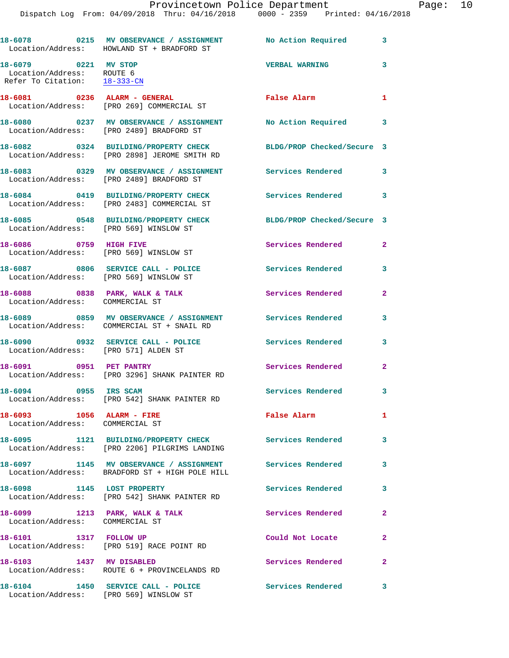Dispatch Log From: 04/09/2018 Thru: 04/16/2018 0000 - 2359 Printed: 04/16/2018

|                                                                                   | 18-6078 0215 MV OBSERVANCE / ASSIGNMENT No Action Required 3<br>Location/Address: HOWLAND ST + BRADFORD ST  |                            |                |
|-----------------------------------------------------------------------------------|-------------------------------------------------------------------------------------------------------------|----------------------------|----------------|
| 18-6079 0221 MV STOP<br>Location/Address: ROUTE 6<br>Refer To Citation: 18-333-CN |                                                                                                             | <b>VERBAL WARNING</b>      | 3              |
|                                                                                   | 18-6081 0236 ALARM - GENERAL<br>Location/Address: [PRO 269] COMMERCIAL ST                                   | False Alarm                | $\mathbf{1}$   |
|                                                                                   | 18-6080 0237 MV OBSERVANCE / ASSIGNMENT No Action Required 3<br>Location/Address: [PRO 2489] BRADFORD ST    |                            |                |
|                                                                                   | 18-6082 0324 BUILDING/PROPERTY CHECK<br>Location/Address: [PRO 2898] JEROME SMITH RD                        | BLDG/PROP Checked/Secure 3 |                |
|                                                                                   | 18-6083 0329 MV OBSERVANCE / ASSIGNMENT<br>Location/Address: [PRO 2489] BRADFORD ST                         | Services Rendered 3        |                |
|                                                                                   | 18-6084 0419 BUILDING/PROPERTY CHECK<br>Location/Address: [PRO 2483] COMMERCIAL ST                          | Services Rendered 3        |                |
| Location/Address: [PRO 569] WINSLOW ST                                            | 18-6085 0548 BUILDING/PROPERTY CHECK                                                                        | BLDG/PROP Checked/Secure 3 |                |
| 18-6086 0759 HIGH FIVE<br>Location/Address: [PRO 569] WINSLOW ST                  |                                                                                                             | Services Rendered          | $\mathbf{2}$   |
| Location/Address: [PRO 569] WINSLOW ST                                            | 18-6087 0806 SERVICE CALL - POLICE                                                                          | <b>Services Rendered</b>   | 3              |
| Location/Address: COMMERCIAL ST                                                   | 18-6088 0838 PARK, WALK & TALK                                                                              | <b>Services Rendered</b>   | $\overline{2}$ |
|                                                                                   | 18-6089 0859 MV OBSERVANCE / ASSIGNMENT<br>Location/Address: COMMERCIAL ST + SNAIL RD                       | Services Rendered          | 3              |
| Location/Address: [PRO 571] ALDEN ST                                              | 18-6090 0932 SERVICE CALL - POLICE 3 Services Rendered                                                      |                            | 3              |
|                                                                                   | 18-6091 0951 PET PANTRY<br>Location/Address: [PRO 3296] SHANK PAINTER RD                                    | <b>Services Rendered</b>   | $\mathbf{2}$   |
| 0955 IRS SCAM<br>18-6094                                                          | Location/Address: [PRO 542] SHANK PAINTER RD                                                                | Services Rendered 3        |                |
| 18-6093 1056 ALARM - FIRE<br>Location/Address: COMMERCIAL ST                      |                                                                                                             | False Alarm                | $\mathbf{1}$   |
|                                                                                   | 18-6095 1121 BUILDING/PROPERTY CHECK<br>Location/Address: [PRO 2206] PILGRIMS LANDING                       | Services Rendered          | 3              |
|                                                                                   | 18-6097 1145 MV OBSERVANCE / ASSIGNMENT Services Rendered<br>Location/Address: BRADFORD ST + HIGH POLE HILL |                            | 3              |
| 18-6098 1145 LOST PROPERTY                                                        | Location/Address: [PRO 542] SHANK PAINTER RD                                                                | <b>Services Rendered</b>   | 3              |
| 18-6099 1213 PARK, WALK & TALK<br>Location/Address: COMMERCIAL ST                 |                                                                                                             | Services Rendered          | $\overline{a}$ |
| 18-6101 1317 FOLLOW UP                                                            | Location/Address: [PRO 519] RACE POINT RD                                                                   | Could Not Locate           | $\mathbf{2}$   |
| 18-6103 1437 MV DISABLED                                                          | Location/Address: ROUTE 6 + PROVINCELANDS RD                                                                | Services Rendered          | $\overline{a}$ |
|                                                                                   | 18-6104 1450 SERVICE CALL - POLICE<br>Location/Address: [PRO 569] WINSLOW ST                                | Services Rendered 3        |                |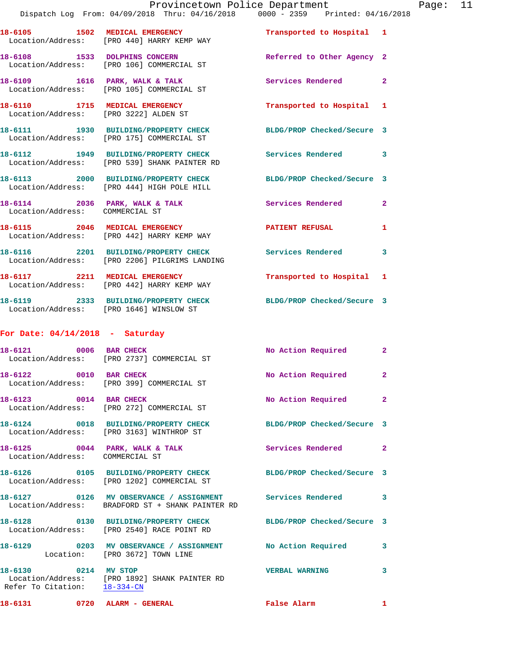|                                                                         | Provincetown Police Department                                                                                        |                            |                |
|-------------------------------------------------------------------------|-----------------------------------------------------------------------------------------------------------------------|----------------------------|----------------|
|                                                                         | Dispatch Log From: 04/09/2018 Thru: 04/16/2018 0000 - 2359 Printed: 04/16/2018                                        |                            |                |
|                                                                         | 18-6105 1502 MEDICAL EMERGENCY<br>Location/Address: [PRO 440] HARRY KEMP WAY                                          | Transported to Hospital 1  |                |
|                                                                         | 18-6108 1533 DOLPHINS CONCERN<br>Location/Address: [PRO 106] COMMERCIAL ST                                            | Referred to Other Agency 2 |                |
|                                                                         | 18-6109 1616 PARK, WALK & TALK<br>Location/Address: [PRO 105] COMMERCIAL ST                                           | Services Rendered          | $\overline{a}$ |
| 18-6110 1715 MEDICAL EMERGENCY<br>Location/Address: [PRO 3222] ALDEN ST |                                                                                                                       | Transported to Hospital 1  |                |
|                                                                         | 18-6111 1930 BUILDING/PROPERTY CHECK<br>Location/Address: [PRO 175] COMMERCIAL ST                                     | BLDG/PROP Checked/Secure 3 |                |
|                                                                         | 18-6112 1949 BUILDING/PROPERTY CHECK<br>Location/Address: [PRO 539] SHANK PAINTER RD                                  | <b>Services Rendered</b>   | 3              |
|                                                                         | 18-6113 2000 BUILDING/PROPERTY CHECK<br>Location/Address: [PRO 444] HIGH POLE HILL                                    | BLDG/PROP Checked/Secure 3 |                |
| Location/Address: COMMERCIAL ST                                         | 18-6114 2036 PARK, WALK & TALK                                                                                        | Services Rendered          | $\overline{a}$ |
|                                                                         | 18-6115 2046 MEDICAL EMERGENCY<br>Location/Address: [PRO 442] HARRY KEMP WAY                                          | <b>PATIENT REFUSAL</b>     | 1              |
|                                                                         | 18-6116 2201 BUILDING/PROPERTY CHECK<br>Location/Address: [PRO 2206] PILGRIMS LANDING                                 | <b>Services Rendered</b>   | 3              |
|                                                                         | 18-6117 2211 MEDICAL EMERGENCY<br>Location/Address: [PRO 442] HARRY KEMP WAY                                          | Transported to Hospital 1  |                |
| Location/Address: [PRO 1646] WINSLOW ST                                 | 18-6119 2333 BUILDING/PROPERTY CHECK                                                                                  | BLDG/PROP Checked/Secure 3 |                |
| For Date: $04/14/2018$ - Saturday                                       |                                                                                                                       |                            |                |
|                                                                         | 18-6121 0006 BAR CHECK<br>Location/Address: [PRO 2737] COMMERCIAL ST                                                  | No Action Required         | $\overline{2}$ |
| 18-6122 0010 BAR CHECK                                                  | Location/Address: [PRO 399] COMMERCIAL ST                                                                             | No Action Required         |                |
| 18-6123 0014 BAR CHECK                                                  | Location/Address: [PRO 272] COMMERCIAL ST                                                                             | No Action Required         | $\overline{a}$ |
|                                                                         | 18-6124 0018 BUILDING/PROPERTY CHECK<br>Location/Address: [PRO 3163] WINTHROP ST                                      | BLDG/PROP Checked/Secure 3 |                |
| Location/Address: COMMERCIAL ST                                         | 18-6125 0044 PARK, WALK & TALK                                                                                        | Services Rendered          | $\mathbf{2}$   |
|                                                                         | 18-6126 0105 BUILDING/PROPERTY CHECK<br>Location/Address: [PRO 1202] COMMERCIAL ST                                    | BLDG/PROP Checked/Secure 3 |                |
|                                                                         | 18-6127  0126 MV OBSERVANCE / ASSIGNMENT Services Rendered<br>Location/Address: BRADFORD ST + SHANK PAINTER RD        |                            | 3              |
|                                                                         | 18-6128 			 0130 BUILDING/PROPERTY CHECK 				BLDG/PROP Checked/Secure 3<br>Location/Address: [PRO 2540] RACE POINT RD |                            |                |
|                                                                         | 18-6129       0203   MV OBSERVANCE / ASSIGNMENT       No Action Required<br>Location: [PRO 3672] TOWN LINE            |                            | 3              |
| 18-6130 0214 MV STOP<br>Refer To Citation: 18-334-CN                    | Location/Address: [PRO 1892] SHANK PAINTER RD                                                                         | <b>VERBAL WARNING</b>      | 3              |

**18-6131 0720 ALARM - GENERAL False Alarm 1**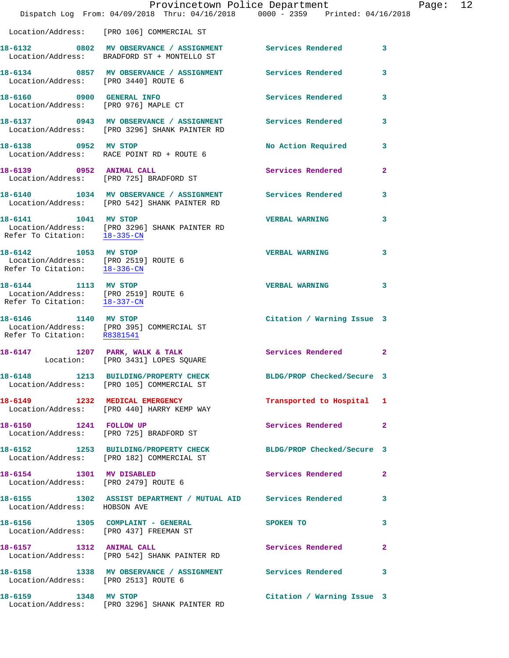|                                                                                              | Provincetown Police Department<br>Dispatch Log From: 04/09/2018 Thru: 04/16/2018 0000 - 2359 Printed: 04/16/2018 |                            |              |
|----------------------------------------------------------------------------------------------|------------------------------------------------------------------------------------------------------------------|----------------------------|--------------|
|                                                                                              | Location/Address: [PRO 106] COMMERCIAL ST                                                                        |                            |              |
|                                                                                              | 18-6132 0802 MV OBSERVANCE / ASSIGNMENT Services Rendered<br>Location/Address: BRADFORD ST + MONTELLO ST         |                            | 3            |
| Location/Address: [PRO 3440] ROUTE 6                                                         | 18-6134 0857 MV OBSERVANCE / ASSIGNMENT Services Rendered                                                        |                            | 3            |
| 18-6160 0900 GENERAL INFO                                                                    | Location/Address: [PRO 976] MAPLE CT                                                                             | <b>Services Rendered</b>   | 3            |
|                                                                                              | 18-6137 0943 MV OBSERVANCE / ASSIGNMENT Services Rendered<br>Location/Address: [PRO 3296] SHANK PAINTER RD       |                            | 3            |
| 18-6138 0952 MV STOP                                                                         | Location/Address: RACE POINT RD + ROUTE 6                                                                        | No Action Required         | 3            |
|                                                                                              | 18-6139 0952 ANIMAL CALL<br>Location/Address: [PRO 725] BRADFORD ST                                              | <b>Services Rendered</b>   | $\mathbf{2}$ |
|                                                                                              | 18-6140 1034 MV OBSERVANCE / ASSIGNMENT Services Rendered<br>Location/Address: [PRO 542] SHANK PAINTER RD        |                            | 3            |
| Refer To Citation: 18-335-CN                                                                 | 18-6141 1041 MV STOP<br>Location/Address: [PRO 3296] SHANK PAINTER RD                                            | <b>VERBAL WARNING</b>      | 3            |
| 18-6142 1053 MV STOP<br>Location/Address: [PRO 2519] ROUTE 6<br>Refer To Citation: 18-336-CN |                                                                                                                  | <b>VERBAL WARNING</b>      | 3            |
| 18-6144 1113 MV STOP<br>Location/Address: [PRO 2519] ROUTE 6<br>Refer To Citation: 18-337-CN |                                                                                                                  | <b>VERBAL WARNING</b>      | 3            |
| Refer To Citation: R8381541                                                                  | 18-6146 1140 MV STOP<br>Location/Address: [PRO 395] COMMERCIAL ST                                                | Citation / Warning Issue 3 |              |
|                                                                                              | 18-6147 1207 PARK, WALK & TALK<br>Location: [PRO 3431] LOPES SQUARE                                              | Services Rendered          | $\mathbf{2}$ |
|                                                                                              | 18-6148 1213 BUILDING/PROPERTY CHECK<br>Location/Address: [PRO 105] COMMERCIAL ST                                | BLDG/PROP Checked/Secure 3 |              |
|                                                                                              | 18-6149 1232 MEDICAL EMERGENCY<br>Location/Address: [PRO 440] HARRY KEMP WAY                                     | Transported to Hospital 1  |              |
| 18-6150 1241 FOLLOW UP                                                                       | Location/Address: [PRO 725] BRADFORD ST                                                                          | Services Rendered          | $\mathbf{2}$ |
|                                                                                              | 18-6152 1253 BUILDING/PROPERTY CHECK BLDG/PROP Checked/Secure 3<br>Location/Address: [PRO 182] COMMERCIAL ST     |                            |              |
| 18-6154 1301 MV DISABLED<br>Location/Address: [PRO 2479] ROUTE 6                             |                                                                                                                  | <b>Services Rendered</b>   | 2            |
| Location/Address: HOBSON AVE                                                                 | 18-6155 1302 ASSIST DEPARTMENT / MUTUAL AID Services Rendered                                                    |                            | 3            |
|                                                                                              | 18-6156 1305 COMPLAINT - GENERAL<br>Location/Address: [PRO 437] FREEMAN ST                                       | <b>SPOKEN TO</b>           | 3            |
| 18-6157 1312 ANIMAL CALL                                                                     | Location/Address: [PRO 542] SHANK PAINTER RD                                                                     | Services Rendered          | 2            |
| Location/Address: [PRO 2513] ROUTE 6                                                         | 18-6158 1338 MV OBSERVANCE / ASSIGNMENT Services Rendered                                                        |                            | 3            |
| 18-6159 1348 MV STOP                                                                         | Location/Address: [PRO 3296] SHANK PAINTER RD                                                                    | Citation / Warning Issue 3 |              |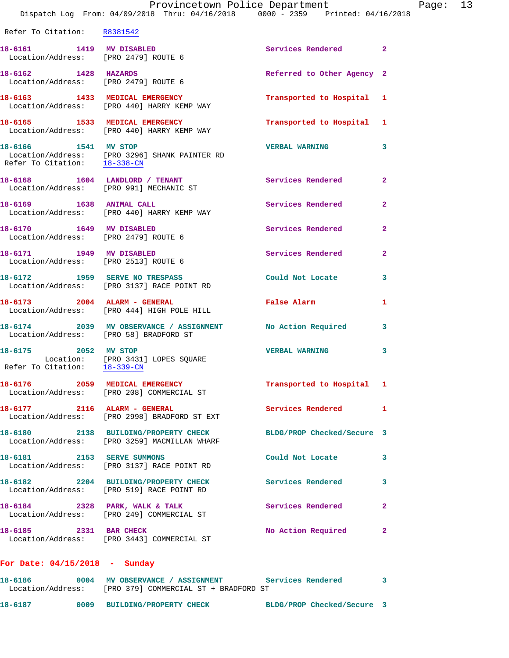|                                                                  | Dispatch Log From: 04/09/2018 Thru: 04/16/2018 0000 - 2359 Printed: 04/16/2018                        | Provincetown Police Department |                | Page: 13 |  |
|------------------------------------------------------------------|-------------------------------------------------------------------------------------------------------|--------------------------------|----------------|----------|--|
| Refer To Citation: R8381542                                      |                                                                                                       |                                |                |          |  |
| 18-6161 1419 MV DISABLED                                         | Location/Address: [PRO 2479] ROUTE 6                                                                  | Services Rendered 2            |                |          |  |
| Location/Address: [PRO 2479] ROUTE 6                             | 18-6162 1428 HAZARDS                                                                                  | Referred to Other Agency 2     |                |          |  |
|                                                                  | 18-6163 1433 MEDICAL EMERGENCY<br>Location/Address: [PRO 440] HARRY KEMP WAY                          | Transported to Hospital 1      |                |          |  |
|                                                                  | 18-6165 1533 MEDICAL EMERGENCY<br>Location/Address: [PRO 440] HARRY KEMP WAY                          | Transported to Hospital 1      |                |          |  |
| 18-6166 1541 MV STOP                                             | Location/Address: [PRO 3296] SHANK PAINTER RD<br>Refer To Citation: 18-338-CN                         | <b>VERBAL WARNING</b>          | 3              |          |  |
|                                                                  | 18-6168 1604 LANDLORD / TENANT<br>Location/Address: [PRO 991] MECHANIC ST                             | Services Rendered 2            |                |          |  |
|                                                                  | 18-6169 1638 ANIMAL CALL<br>Location/Address: [PRO 440] HARRY KEMP WAY                                | Services Rendered              | $\overline{a}$ |          |  |
| 18-6170 1649 MV DISABLED<br>Location/Address: [PRO 2479] ROUTE 6 |                                                                                                       | Services Rendered              | $\mathbf{2}$   |          |  |
| Location/Address: [PRO 2513] ROUTE 6                             | 18-6171 1949 MV DISABLED                                                                              | Services Rendered              | $\overline{2}$ |          |  |
|                                                                  | 18-6172 1959 SERVE NO TRESPASS<br>Location/Address: [PRO 3137] RACE POINT RD                          | Could Not Locate 3             |                |          |  |
|                                                                  | 18-6173 2004 ALARM - GENERAL<br>Location/Address: [PRO 444] HIGH POLE HILL                            | False Alarm                    | $\mathbf{1}$   |          |  |
| Location/Address: [PRO 58] BRADFORD ST                           | 18-6174 2039 MV OBSERVANCE / ASSIGNMENT No Action Required 3                                          |                                |                |          |  |
| 18-6175 2052 MV STOP                                             | Location: [PRO 3431] LOPES SQUARE<br>Refer To Citation: $\frac{18-339\text{--CN}}{18-339\text{--CN}}$ | <b>VERBAL WARNING</b>          | 3              |          |  |
|                                                                  | 18-6176 2059 MEDICAL EMERGENCY<br>Location/Address: [PRO 208] COMMERCIAL ST                           | Transported to Hospital 1      |                |          |  |
| 18-6177 2116 ALARM - GENERAL                                     | Location/Address: [PRO 2998] BRADFORD ST EXT                                                          | Services Rendered              | 1              |          |  |
|                                                                  | 18-6180 2138 BUILDING/PROPERTY CHECK<br>Location/Address: [PRO 3259] MACMILLAN WHARF                  | BLDG/PROP Checked/Secure 3     |                |          |  |
|                                                                  | 18-6181 2153 SERVE SUMMONS<br>Location/Address: [PRO 3137] RACE POINT RD                              | Could Not Locate               | 3              |          |  |
|                                                                  | 18-6182 2204 BUILDING/PROPERTY CHECK<br>Location/Address: [PRO 519] RACE POINT RD                     | <b>Services Rendered</b>       | 3              |          |  |
|                                                                  | 18-6184 2328 PARK, WALK & TALK<br>Location/Address: [PRO 249] COMMERCIAL ST                           | Services Rendered              | 2              |          |  |
| 18-6185 2331 BAR CHECK                                           | Location/Address: [PRO 3443] COMMERCIAL ST                                                            | No Action Required             | $\mathbf{2}$   |          |  |
|                                                                  |                                                                                                       |                                |                |          |  |

## **For Date: 04/15/2018 - Sunday**

| 18-6186           | 0004 MV OBSERVANCE / ASSIGNMENT |  |                                       | Services Rendered |  |
|-------------------|---------------------------------|--|---------------------------------------|-------------------|--|
| Location/Address: |                                 |  | [PRO 379] COMMERCIAL ST + BRADFORD ST |                   |  |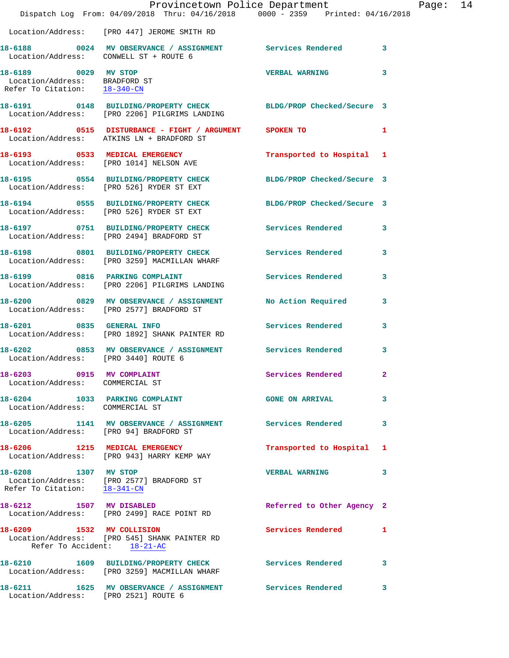|                                                                                       | Provincetown Police Department<br>Dispatch Log From: 04/09/2018 Thru: 04/16/2018 0000 - 2359 Printed: 04/16/2018 |                            |    |
|---------------------------------------------------------------------------------------|------------------------------------------------------------------------------------------------------------------|----------------------------|----|
|                                                                                       | Location/Address: [PRO 447] JEROME SMITH RD                                                                      |                            |    |
|                                                                                       | 18-6188 0024 MV OBSERVANCE / ASSIGNMENT Services Rendered<br>Location/Address: CONWELL ST + ROUTE 6              |                            | 3  |
| 18-6189 0029 MV STOP<br>Location/Address: BRADFORD ST<br>Refer To Citation: 18-340-CN |                                                                                                                  | <b>VERBAL WARNING</b>      | 3  |
|                                                                                       | 18-6191 0148 BUILDING/PROPERTY CHECK BLDG/PROP Checked/Secure 3<br>Location/Address: [PRO 2206] PILGRIMS LANDING |                            |    |
|                                                                                       | 18-6192 0515 DISTURBANCE - FIGHT / ARGUMENT SPOKEN TO<br>Location/Address: ATKINS LN + BRADFORD ST               |                            | 1  |
|                                                                                       | 18-6193 0533 MEDICAL EMERGENCY<br>Location/Address: [PRO 1014] NELSON AVE                                        | Transported to Hospital    | -1 |
|                                                                                       | 18-6195 0554 BUILDING/PROPERTY CHECK BLDG/PROP Checked/Secure 3<br>Location/Address: [PRO 526] RYDER ST EXT      |                            |    |
|                                                                                       | 18-6194 0555 BUILDING/PROPERTY CHECK BLDG/PROP Checked/Secure 3<br>Location/Address: [PRO 526] RYDER ST EXT      |                            |    |
|                                                                                       | 18-6197 0751 BUILDING/PROPERTY CHECK<br>Location/Address: [PRO 2494] BRADFORD ST                                 | <b>Services Rendered</b>   | 3  |
|                                                                                       | 18-6198 0801 BUILDING/PROPERTY CHECK<br>Location/Address: [PRO 3259] MACMILLAN WHARF                             | <b>Services Rendered</b>   | 3  |
|                                                                                       | 18-6199 0816 PARKING COMPLAINT<br>Location/Address: [PRO 2206] PILGRIMS LANDING                                  | <b>Services Rendered</b>   | 3  |
|                                                                                       | 18-6200 0829 MV OBSERVANCE / ASSIGNMENT No Action Required<br>Location/Address: [PRO 2577] BRADFORD ST           |                            | 3  |
|                                                                                       | 18-6201 0835 GENERAL INFO<br>Location/Address: [PRO 1892] SHANK PAINTER RD                                       | <b>Services Rendered</b>   | 3  |
| Location/Address: [PRO 3440] ROUTE 6                                                  | 18-6202 0853 MV OBSERVANCE / ASSIGNMENT Services Rendered                                                        |                            | 3  |
| 18-6203 0915 MV COMPLAINT<br>Location/Address: COMMERCIAL ST                          |                                                                                                                  | <b>Services Rendered</b>   | 2. |
| 18-6204 1033 PARKING COMPLAINT<br>Location/Address: COMMERCIAL ST                     |                                                                                                                  | <b>GONE ON ARRIVAL</b>     | 3  |
| Location/Address: [PRO 94] BRADFORD ST                                                | 18-6205 1141 MV OBSERVANCE / ASSIGNMENT Services Rendered                                                        |                            | 3  |
|                                                                                       | 18-6206 1215 MEDICAL EMERGENCY<br>Location/Address: [PRO 943] HARRY KEMP WAY                                     | Transported to Hospital    | 1  |
| 18-6208 1307 MV STOP<br>Refer To Citation: 18-341-CN                                  | Location/Address: [PRO 2577] BRADFORD ST                                                                         | <b>VERBAL WARNING</b>      | 3  |
| 18-6212 1507 MV DISABLED                                                              | Location/Address: [PRO 2499] RACE POINT RD                                                                       | Referred to Other Agency 2 |    |
| 18-6209 1532 MV COLLISION<br>Refer To Accident: 18-21-AC                              | Location/Address: [PRO 545] SHANK PAINTER RD                                                                     | Services Rendered          | 1  |
|                                                                                       | 18-6210 1609 BUILDING/PROPERTY CHECK Services Rendered<br>Location/Address: [PRO 3259] MACMILLAN WHARF           |                            | 3  |
| 18-6211<br>Location/Address: [PRO 2521] ROUTE 6                                       | 1625 MV OBSERVANCE / ASSIGNMENT Services Rendered                                                                |                            | 3  |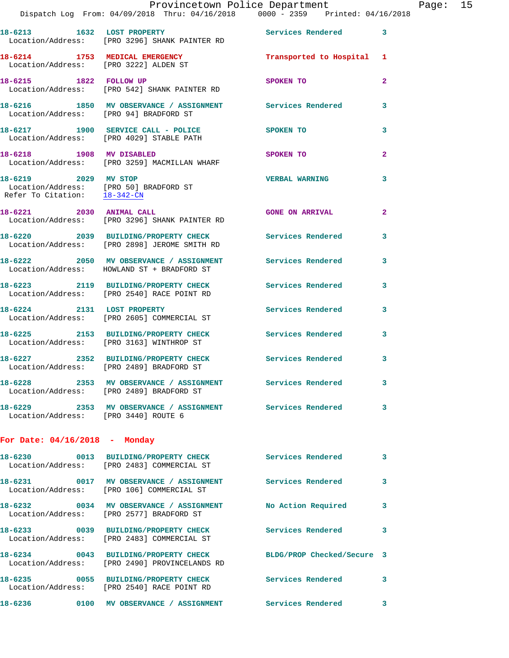|                                                                                                | Dispatch Log From: 04/09/2018 Thru: 04/16/2018 0000 - 2359 Printed: 04/16/2018                          |                            |              |
|------------------------------------------------------------------------------------------------|---------------------------------------------------------------------------------------------------------|----------------------------|--------------|
|                                                                                                | 18-6213 1632 LOST PROPERTY<br>Location/Address: [PRO 3296] SHANK PAINTER RD                             | <b>Services Rendered</b>   | 3            |
| 18-6214 1753 MEDICAL EMERGENCY<br>Location/Address: [PRO 3222] ALDEN ST                        |                                                                                                         | Transported to Hospital    | 1            |
|                                                                                                | 18-6215 1822 FOLLOW UP<br>Location/Address: [PRO 542] SHANK PAINTER RD                                  | SPOKEN TO                  | $\mathbf{2}$ |
| Location/Address: [PRO 94] BRADFORD ST                                                         | 18-6216 1850 MV OBSERVANCE / ASSIGNMENT Services Rendered                                               |                            | 3            |
|                                                                                                | 18-6217 1900 SERVICE CALL - POLICE<br>Location/Address: [PRO 4029] STABLE PATH                          | <b>SPOKEN TO</b>           | 3            |
| 18-6218 1908 MV DISABLED                                                                       | Location/Address: [PRO 3259] MACMILLAN WHARF                                                            | SPOKEN TO                  | $\mathbf{2}$ |
| 18-6219 2029 MV STOP<br>Location/Address: [PRO 50] BRADFORD ST<br>Refer To Citation: 18-342-CN |                                                                                                         | <b>VERBAL WARNING</b>      | 3            |
| 18-6221 2030 ANIMAL CALL                                                                       | Location/Address: [PRO 3296] SHANK PAINTER RD                                                           | <b>GONE ON ARRIVAL</b>     | $\mathbf{2}$ |
|                                                                                                | 18-6220 2039 BUILDING/PROPERTY CHECK Services Rendered<br>Location/Address: [PRO 2898] JEROME SMITH RD  |                            | 3            |
|                                                                                                | 18-6222 2050 MV OBSERVANCE / ASSIGNMENT Services Rendered<br>Location/Address: HOWLAND ST + BRADFORD ST |                            | 3            |
|                                                                                                | 18-6223 2119 BUILDING/PROPERTY CHECK Services Rendered<br>Location/Address: [PRO 2540] RACE POINT RD    |                            | 3            |
|                                                                                                | 18-6224 2131 LOST PROPERTY<br>Location/Address: [PRO 2605] COMMERCIAL ST                                | Services Rendered          | 3            |
|                                                                                                | 18-6225 2153 BUILDING/PROPERTY CHECK<br>Location/Address: [PRO 3163] WINTHROP ST                        | <b>Services Rendered</b>   | 3            |
|                                                                                                | 18-6227 2352 BUILDING/PROPERTY CHECK<br>Location/Address: [PRO 2489] BRADFORD ST                        | Services Rendered          | 3            |
|                                                                                                | Location/Address: [PRO 2489] BRADFORD ST                                                                |                            |              |
| Location/Address: [PRO 3440] ROUTE 6                                                           | 18-6229 2353 MV OBSERVANCE / ASSIGNMENT Services Rendered                                               |                            | 3            |
| For Date: $04/16/2018$ - Monday                                                                |                                                                                                         |                            |              |
|                                                                                                | 18-6230 0013 BUILDING/PROPERTY CHECK<br>Location/Address: [PRO 2483] COMMERCIAL ST                      | Services Rendered          | 3            |
|                                                                                                | 18-6231  0017 MV OBSERVANCE / ASSIGNMENT Services Rendered<br>Location/Address: [PRO 106] COMMERCIAL ST |                            | 3            |
|                                                                                                | 18-6232 0034 MV OBSERVANCE / ASSIGNMENT<br>Location/Address: [PRO 2577] BRADFORD ST                     | No Action Required         | 3            |
|                                                                                                | 18-6233 0039 BUILDING/PROPERTY CHECK Services Rendered<br>Location/Address: [PRO 2483] COMMERCIAL ST    |                            | 3            |
|                                                                                                | 18-6234 0043 BUILDING/PROPERTY CHECK<br>Location/Address: [PRO 2490] PROVINCELANDS RD                   | BLDG/PROP Checked/Secure 3 |              |
|                                                                                                | 18-6235 0055 BUILDING/PROPERTY CHECK<br>Location/Address: [PRO 2540] RACE POINT RD                      | Services Rendered          | 3            |
|                                                                                                |                                                                                                         |                            | 3            |